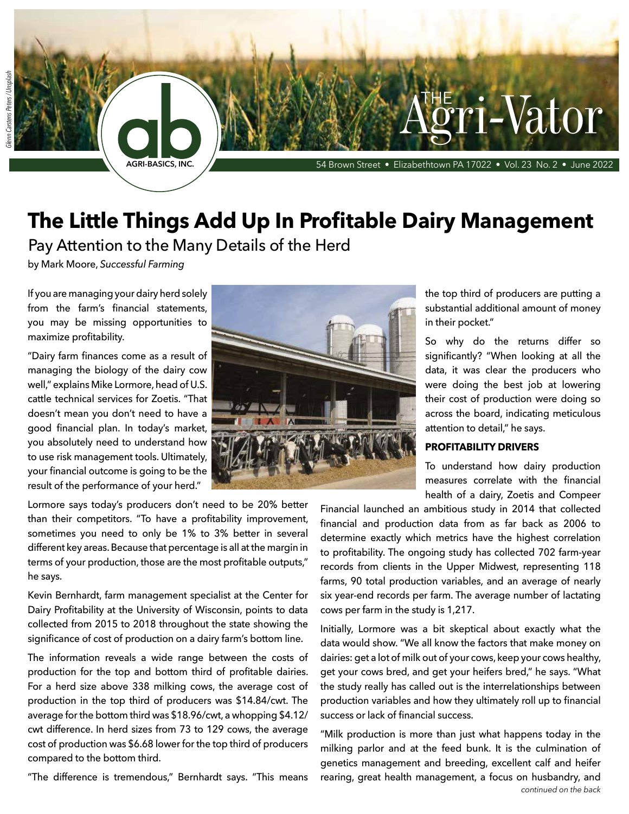# **The Little Things Add Up In Profitable Dairy Management**

**AGRI-BASICS, INC.** 54 Brown Street • Elizabethtown PA 17022 • Vol. 23 No. 2 • June 2022

Pay Attention to the Many Details of the Herd

by Mark Moore, *Successful Farming*

If you are managing your dairy herd solely from the farm's financial statements, you may be missing opportunities to maximize profitability.

"Dairy farm finances come as a result of managing the biology of the dairy cow well," explains Mike Lormore, head of U.S. cattle technical services for Zoetis. "That doesn't mean you don't need to have a good financial plan. In today's market, you absolutely need to understand how to use risk management tools. Ultimately, your financial outcome is going to be the result of the performance of your herd."

Lormore says today's producers don't need to be 20% better than their competitors. "To have a profitability improvement, sometimes you need to only be 1% to 3% better in several different key areas. Because that percentage is all at the margin in terms of your production, those are the most profitable outputs," he says.

Kevin Bernhardt, farm management specialist at the Center for Dairy Profitability at the University of Wisconsin, points to data collected from 2015 to 2018 throughout the state showing the significance of cost of production on a dairy farm's bottom line.

The information reveals a wide range between the costs of production for the top and bottom third of profitable dairies. For a herd size above 338 milking cows, the average cost of production in the top third of producers was \$14.84/cwt. The average for the bottom third was \$18.96/cwt, a whopping \$4.12/ cwt difference. In herd sizes from 73 to 129 cows, the average cost of production was \$6.68 lower for the top third of producers compared to the bottom third.

"The difference is tremendous," Bernhardt says. "This means



the top third of producers are putting a substantial additional amount of money in their pocket."

i-Vator

So why do the returns differ so significantly? "When looking at all the data, it was clear the producers who were doing the best job at lowering their cost of production were doing so across the board, indicating meticulous attention to detail," he says.

## **PROFITABILITY DRIVERS**

To understand how dairy production measures correlate with the financial health of a dairy, Zoetis and Compeer

Financial launched an ambitious study in 2014 that collected financial and production data from as far back as 2006 to determine exactly which metrics have the highest correlation to profitability. The ongoing study has collected 702 farm-year records from clients in the Upper Midwest, representing 118 farms, 90 total production variables, and an average of nearly six year-end records per farm. The average number of lactating cows per farm in the study is 1,217.

Initially, Lormore was a bit skeptical about exactly what the data would show. "We all know the factors that make money on dairies: get a lot of milk out of your cows, keep your cows healthy, get your cows bred, and get your heifers bred," he says. "What the study really has called out is the interrelationships between production variables and how they ultimately roll up to financial success or lack of financial success.

"Milk production is more than just what happens today in the milking parlor and at the feed bunk. It is the culmination of genetics management and breeding, excellent calf and heifer rearing, great health management, a focus on husbandry, and *continued on the back*